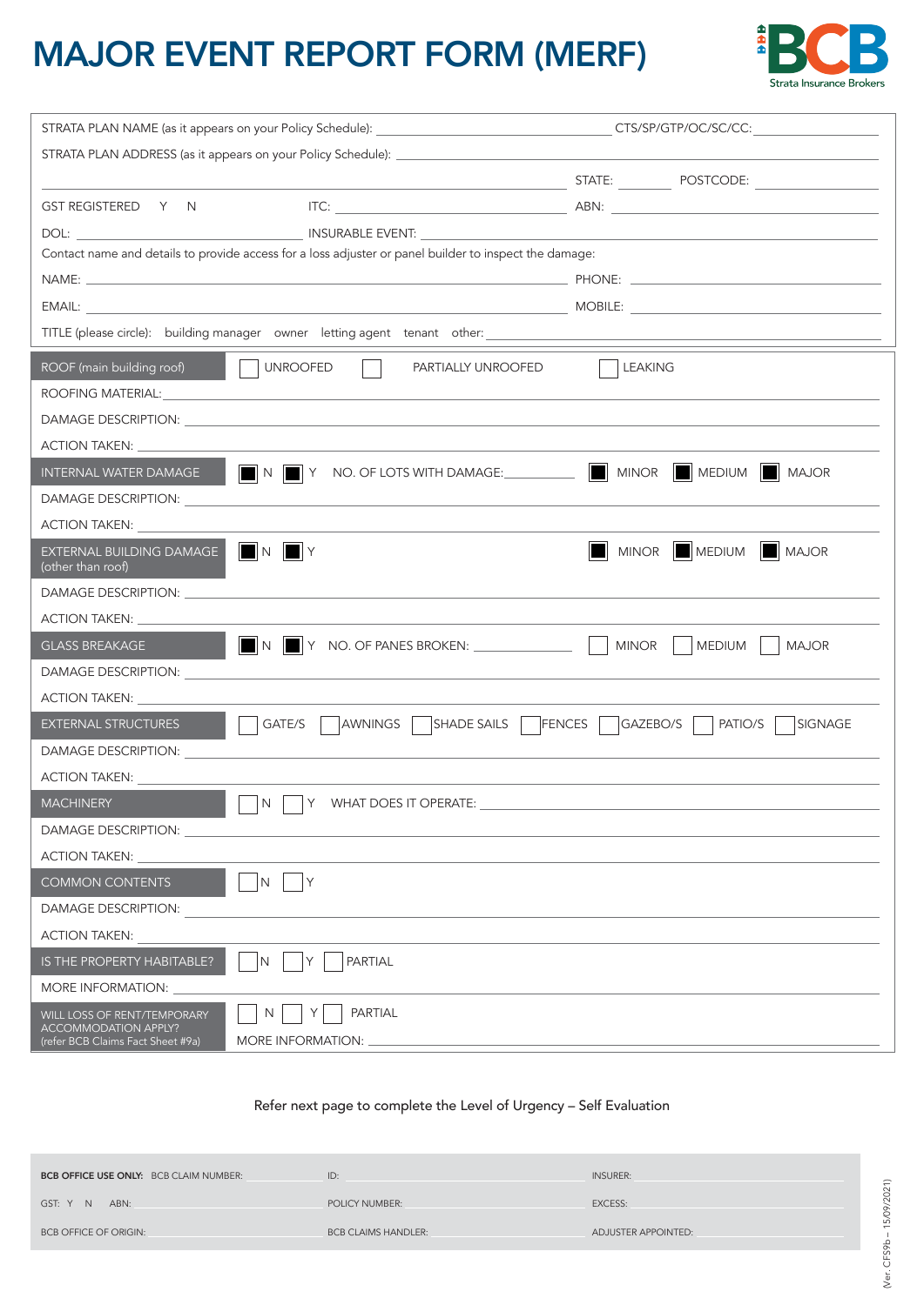## MAJOR EVENT REPORT FORM (MERF)



| GST REGISTERED Y N                                                                                                                                                                                                                       |          |                    |              |  |  |
|------------------------------------------------------------------------------------------------------------------------------------------------------------------------------------------------------------------------------------------|----------|--------------------|--------------|--|--|
|                                                                                                                                                                                                                                          |          |                    |              |  |  |
| Contact name and details to provide access for a loss adjuster or panel builder to inspect the damage:                                                                                                                                   |          |                    |              |  |  |
|                                                                                                                                                                                                                                          |          |                    |              |  |  |
| MOBILE: The contract of the contract of the contract of the contract of the contract of the contract of the contract of the contract of the contract of the contract of the contract of the contract of the contract of the co<br>EMAIL: |          |                    |              |  |  |
| TITLE (please circle): building manager owner letting agent tenant other: \\espirit \\espirit \\espirit \\espirit \\espirit \\espirit \\espirit \\espirit \\espirit \\espirit \\espirit \\espirit \\espirit \\espirit \\espiri           |          |                    |              |  |  |
| <b>UNROOFED</b><br>ROOF (main building roof)<br>PARTIALLY UNROOFED                                                                                                                                                                       |          | <b>LEAKING</b>     |              |  |  |
| ROOFING MATERIAL: University of the contract of the contract of the contract of the contract of the contract of the contract of the contract of the contract of the contract of the contract of the contract of the contract o           |          |                    |              |  |  |
|                                                                                                                                                                                                                                          |          |                    |              |  |  |
| ACTION TAKEN:                                                                                                                                                                                                                            |          |                    |              |  |  |
| $\Box$ N $\Box$ Y NO. OF LOTS WITH DAMAGE: $\Box$ $\Box$ MINOR $\Box$ MEDIUM $\Box$ MAJOR<br>INTERNAL WATER DAMAGE                                                                                                                       |          |                    |              |  |  |
| <b>DAMAGE DESCRIPTION:</b>                                                                                                                                                                                                               |          |                    |              |  |  |
| <b>ACTION TAKEN:</b>                                                                                                                                                                                                                     |          |                    |              |  |  |
| $\blacksquare$ N $\blacksquare$ Y<br>EXTERNAL BUILDING DAMAGE<br>(other than roof)                                                                                                                                                       |          | MINOR MEDIUM MAJOR |              |  |  |
|                                                                                                                                                                                                                                          |          |                    |              |  |  |
| ACTION TAKEN: _______________                                                                                                                                                                                                            |          |                    |              |  |  |
| <b>GLASS BREAKAGE</b>                                                                                                                                                                                                                    |          | MINOR  <br>MEDIUM  | <b>MAJOR</b> |  |  |
| DAMAGE DESCRIPTION: LATER AND A SERVICE OF THE SERVICE OF THE SERVICE OF THE SERVICE OF THE SERVICE OF THE SERVICE OF THE SERVICE OF THE SERVICE OF THE SERVICE OF THE SERVICE OF THE SERVICE OF THE SERVICE OF THE SERVICE OF           |          |                    |              |  |  |
| <b>ACTION TAKEN:</b>                                                                                                                                                                                                                     |          |                    |              |  |  |
| AWNINGS   SHADE SAILS   FENCES  <br>GATE/S<br><b>EXTERNAL STRUCTURES</b>                                                                                                                                                                 | GAZEBO/S | PATIO/S            | SIGNAGE      |  |  |
| DAMAGE DESCRIPTION:                                                                                                                                                                                                                      |          |                    |              |  |  |
| ACTION TAKEN:                                                                                                                                                                                                                            |          |                    |              |  |  |
| <b>MACHINERY</b><br>Y WHAT DOES IT OPERATE:<br>N                                                                                                                                                                                         |          |                    |              |  |  |
| <b>DAMAGE DESCRIPTION:</b>                                                                                                                                                                                                               |          |                    |              |  |  |
| ACTION TAKEN:                                                                                                                                                                                                                            |          |                    |              |  |  |
| Y<br><b>COMMON CONTENTS</b><br>N                                                                                                                                                                                                         |          |                    |              |  |  |
| DAMAGE DESCRIPTION:                                                                                                                                                                                                                      |          |                    |              |  |  |
| <b>ACTION TAKEN:</b>                                                                                                                                                                                                                     |          |                    |              |  |  |
| <b>PARTIAL</b><br>IS THE PROPERTY HABITABLE?<br>N                                                                                                                                                                                        |          |                    |              |  |  |
| <b>MORE INFORMATION:</b>                                                                                                                                                                                                                 |          |                    |              |  |  |
| PARTIAL<br>N<br>WILL LOSS OF RENT/TEMPORARY<br><b>ACCOMMODATION APPLY?</b><br>MORE INFORMATION: _<br>(refer BCB Claims Fact Sheet #9a)                                                                                                   |          |                    |              |  |  |

## Refer next page to complete the Level of Urgency – Self Evaluation

| BCB OFFICE USE ONLY: BCB CLAIM NUMBER: | ID:                        | <b>INSURER:</b>     |      |
|----------------------------------------|----------------------------|---------------------|------|
| GST: Y N<br>ABN:                       | POLICY NUMBER:             | <b>EXCESS:</b>      |      |
| <b>BCB OFFICE OF ORIGIN:</b>           | <b>BCB CLAIMS HANDLER:</b> | ADJUSTER APPOINTED: |      |
|                                        |                            |                     | FS9Ł |
|                                        |                            |                     |      |